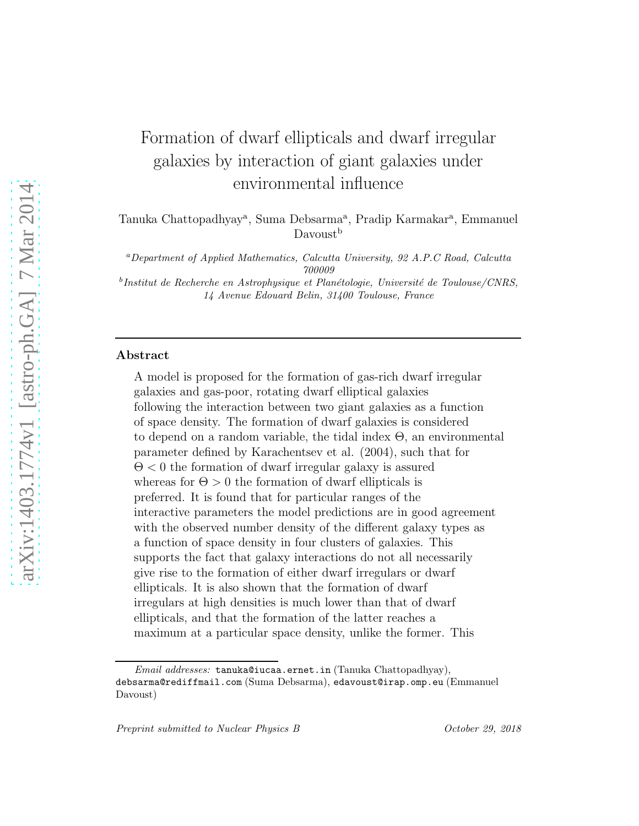# Formation of dwarf ellipticals and dwarf irregular galaxies by interaction of giant galaxies under environmental influence

Tanuka Chattopadhyay<sup>a</sup>, Suma Debsarma<sup>a</sup>, Pradip Karmakar<sup>a</sup>, Emmanuel Davoust<sup>b</sup>

<sup>a</sup>*Department of Applied Mathematics, Calcutta University, 92 A.P.C Road, Calcutta 700009*

<sup>b</sup>Institut de Recherche en Astrophysique et Planétologie, Université de Toulouse/CNRS, *14 Avenue Edouard Belin, 31400 Toulouse, France*

#### Abstract

A model is proposed for the formation of gas-rich dwarf irregular galaxies and gas-poor, rotating dwarf elliptical galaxies following the interaction between two giant galaxies as a function of space density. The formation of dwarf galaxies is considered to depend on a random variable, the tidal index Θ, an environmental parameter defined by Karachentsev et al. (2004), such that for  $\Theta$  < 0 the formation of dwarf irregular galaxy is assured whereas for  $\Theta > 0$  the formation of dwarf ellipticals is preferred. It is found that for particular ranges of the interactive parameters the model predictions are in good agreement with the observed number density of the different galaxy types as a function of space density in four clusters of galaxies. This supports the fact that galaxy interactions do not all necessarily give rise to the formation of either dwarf irregulars or dwarf ellipticals. It is also shown that the formation of dwarf irregulars at high densities is much lower than that of dwarf ellipticals, and that the formation of the latter reaches a maximum at a particular space density, unlike the former. This

*Email addresses:* tanuka@iucaa.ernet.in (Tanuka Chattopadhyay), debsarma@rediffmail.com (Suma Debsarma), edavoust@irap.omp.eu (Emmanuel Davoust)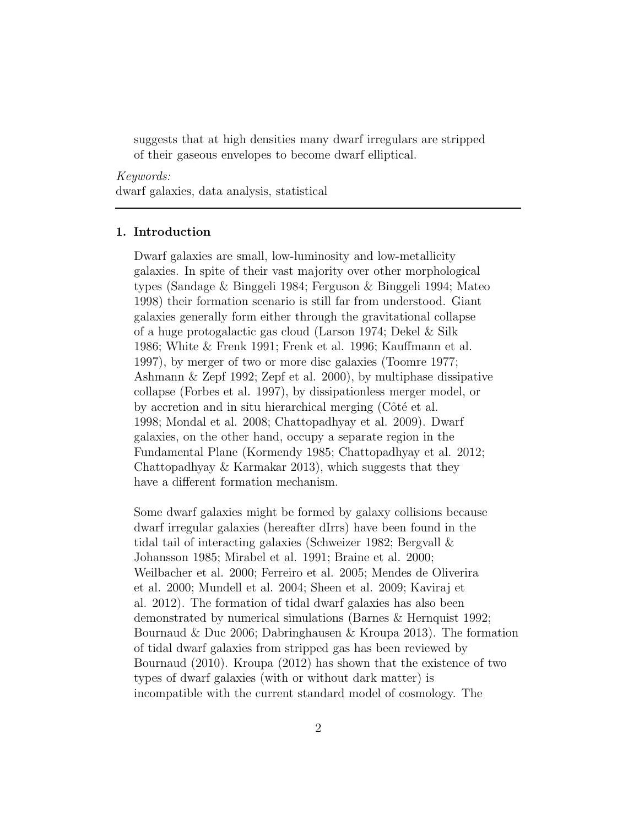suggests that at high densities many dwarf irregulars are stripped of their gaseous envelopes to become dwarf elliptical.

Keywords: dwarf galaxies, data analysis, statistical

### 1. Introduction

Dwarf galaxies are small, low-luminosity and low-metallicity galaxies. In spite of their vast majority over other morphological types (Sandage & Binggeli 1984; Ferguson & Binggeli 1994; Mateo 1998) their formation scenario is still far from understood. Giant galaxies generally form either through the gravitational collapse of a huge protogalactic gas cloud (Larson 1974; Dekel & Silk 1986; White & Frenk 1991; Frenk et al. 1996; Kauffmann et al. 1997), by merger of two or more disc galaxies (Toomre 1977; Ashmann & Zepf 1992; Zepf et al. 2000), by multiphase dissipative collapse (Forbes et al. 1997), by dissipationless merger model, or by accretion and in situ hierarchical merging  $(C \t{ot} \acute{e} \t{et} al.$ 1998; Mondal et al. 2008; Chattopadhyay et al. 2009). Dwarf galaxies, on the other hand, occupy a separate region in the Fundamental Plane (Kormendy 1985; Chattopadhyay et al. 2012; Chattopadhyay & Karmakar 2013), which suggests that they have a different formation mechanism.

Some dwarf galaxies might be formed by galaxy collisions because dwarf irregular galaxies (hereafter dIrrs) have been found in the tidal tail of interacting galaxies (Schweizer 1982; Bergvall & Johansson 1985; Mirabel et al. 1991; Braine et al. 2000; Weilbacher et al. 2000; Ferreiro et al. 2005; Mendes de Oliverira et al. 2000; Mundell et al. 2004; Sheen et al. 2009; Kaviraj et al. 2012). The formation of tidal dwarf galaxies has also been demonstrated by numerical simulations (Barnes & Hernquist 1992; Bournaud & Duc 2006; Dabringhausen & Kroupa 2013). The formation of tidal dwarf galaxies from stripped gas has been reviewed by Bournaud (2010). Kroupa (2012) has shown that the existence of two types of dwarf galaxies (with or without dark matter) is incompatible with the current standard model of cosmology. The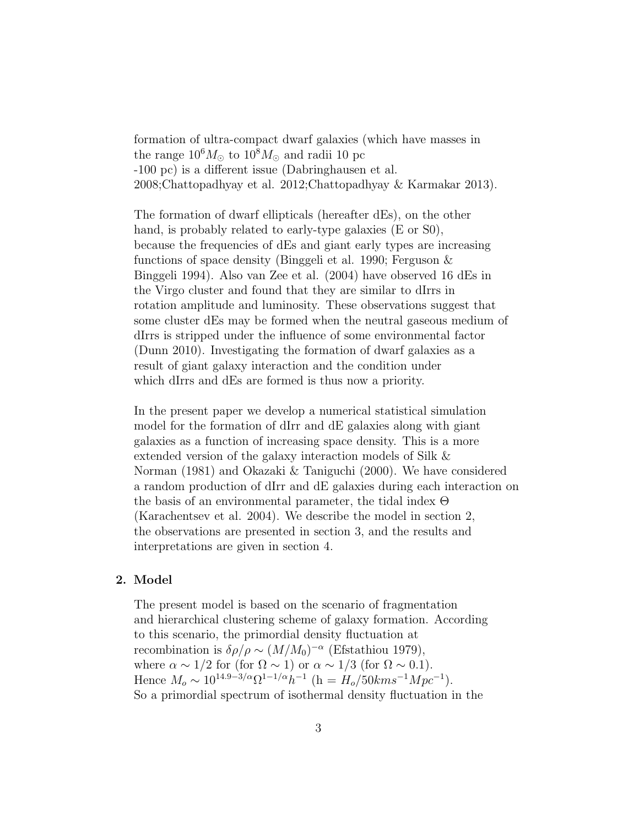formation of ultra-compact dwarf galaxies (which have masses in the range  $10^6 M_{\odot}$  to  $10^8 M_{\odot}$  and radii 10 pc -100 pc) is a different issue (Dabringhausen et al. 2008;Chattopadhyay et al. 2012;Chattopadhyay & Karmakar 2013).

The formation of dwarf ellipticals (hereafter dEs), on the other hand, is probably related to early-type galaxies (E or S0), because the frequencies of dEs and giant early types are increasing functions of space density (Binggeli et al. 1990; Ferguson & Binggeli 1994). Also van Zee et al. (2004) have observed 16 dEs in the Virgo cluster and found that they are similar to dIrrs in rotation amplitude and luminosity. These observations suggest that some cluster dEs may be formed when the neutral gaseous medium of dIrrs is stripped under the influence of some environmental factor (Dunn 2010). Investigating the formation of dwarf galaxies as a result of giant galaxy interaction and the condition under which dIrrs and dEs are formed is thus now a priority.

In the present paper we develop a numerical statistical simulation model for the formation of dIrr and dE galaxies along with giant galaxies as a function of increasing space density. This is a more extended version of the galaxy interaction models of Silk & Norman (1981) and Okazaki & Taniguchi (2000). We have considered a random production of dIrr and dE galaxies during each interaction on the basis of an environmental parameter, the tidal index Θ (Karachentsev et al. 2004). We describe the model in section 2, the observations are presented in section 3, and the results and interpretations are given in section 4.

#### 2. Model

The present model is based on the scenario of fragmentation and hierarchical clustering scheme of galaxy formation. According to this scenario, the primordial density fluctuation at recombination is  $\delta \rho / \rho \sim (M/M_0)^{-\alpha}$  (Efstathiou 1979), where  $\alpha \sim 1/2$  for (for  $\Omega \sim 1$ ) or  $\alpha \sim 1/3$  (for  $\Omega \sim 0.1$ ). Hence  $M_o \sim 10^{14.9-3/\alpha} \Omega^{1-1/\alpha} h^{-1}$  (h =  $H_o/50 km s^{-1} Mpc^{-1}$ ). So a primordial spectrum of isothermal density fluctuation in the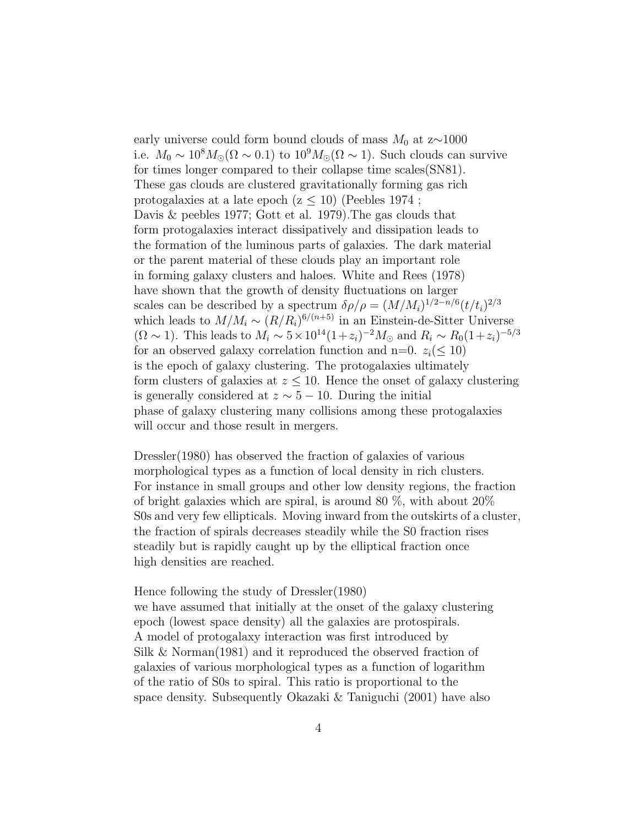early universe could form bound clouds of mass  $M_0$  at z $\sim$ 1000 i.e.  $M_0 \sim 10^8 M_{\odot} (\Omega \sim 0.1)$  to  $10^9 M_{\odot} (\Omega \sim 1)$ . Such clouds can survive for times longer compared to their collapse time scales(SN81). These gas clouds are clustered gravitationally forming gas rich protogalaxies at a late epoch ( $z \leq 10$ ) (Peebles 1974; Davis & peebles 1977; Gott et al. 1979).The gas clouds that form protogalaxies interact dissipatively and dissipation leads to the formation of the luminous parts of galaxies. The dark material or the parent material of these clouds play an important role in forming galaxy clusters and haloes. White and Rees (1978) have shown that the growth of density fluctuations on larger scales can be described by a spectrum  $\delta \rho / \rho = (M/M_i)^{1/2 - n/6} (t/t_i)^{2/3}$ which leads to  $M/M_i \sim (R/R_i)^{6/(n+5)}$  in an Einstein-de-Sitter Universe  $(\Omega \sim 1)$ . This leads to  $M_i \sim 5 \times 10^{14} (1+z_i)^{-2} M_{\odot}$  and  $R_i \sim R_0 (1+z_i)^{-5/3}$ for an observed galaxy correlation function and n=0.  $z_i \leq 10$ ) is the epoch of galaxy clustering. The protogalaxies ultimately form clusters of galaxies at  $z \leq 10$ . Hence the onset of galaxy clustering is generally considered at  $z \sim 5 - 10$ . During the initial phase of galaxy clustering many collisions among these protogalaxies will occur and those result in mergers.

Dressler(1980) has observed the fraction of galaxies of various morphological types as a function of local density in rich clusters. For instance in small groups and other low density regions, the fraction of bright galaxies which are spiral, is around 80 %, with about 20% S0s and very few ellipticals. Moving inward from the outskirts of a cluster, the fraction of spirals decreases steadily while the S0 fraction rises steadily but is rapidly caught up by the elliptical fraction once high densities are reached.

Hence following the study of Dressler(1980)

we have assumed that initially at the onset of the galaxy clustering epoch (lowest space density) all the galaxies are protospirals. A model of protogalaxy interaction was first introduced by Silk & Norman(1981) and it reproduced the observed fraction of galaxies of various morphological types as a function of logarithm of the ratio of S0s to spiral. This ratio is proportional to the space density. Subsequently Okazaki & Taniguchi (2001) have also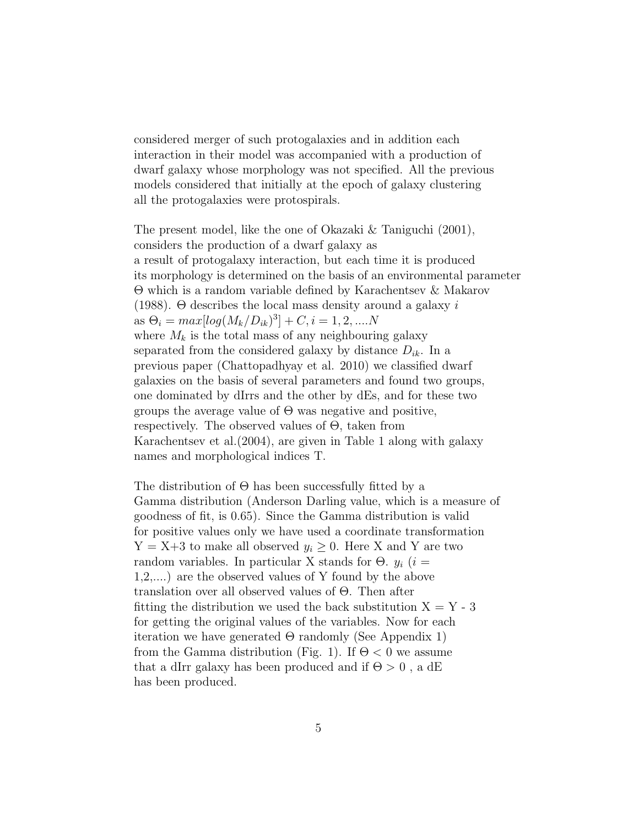considered merger of such protogalaxies and in addition each interaction in their model was accompanied with a production of dwarf galaxy whose morphology was not specified. All the previous models considered that initially at the epoch of galaxy clustering all the protogalaxies were protospirals.

The present model, like the one of Okazaki & Taniguchi (2001), considers the production of a dwarf galaxy as a result of protogalaxy interaction, but each time it is produced its morphology is determined on the basis of an environmental parameter Θ which is a random variable defined by Karachentsev & Makarov (1988). Θ describes the local mass density around a galaxy i as  $\Theta_i = max[log(M_k/D_{ik})^3] + C, i = 1, 2, ....N$ where  $M_k$  is the total mass of any neighbouring galaxy separated from the considered galaxy by distance  $D_{ik}$ . In a previous paper (Chattopadhyay et al. 2010) we classified dwarf galaxies on the basis of several parameters and found two groups, one dominated by dIrrs and the other by dEs, and for these two groups the average value of  $\Theta$  was negative and positive, respectively. The observed values of Θ, taken from Karachentsev et al.(2004), are given in Table 1 along with galaxy names and morphological indices T.

The distribution of  $\Theta$  has been successfully fitted by a Gamma distribution (Anderson Darling value, which is a measure of goodness of fit, is 0.65). Since the Gamma distribution is valid for positive values only we have used a coordinate transformation  $Y = X+3$  to make all observed  $y_i \geq 0$ . Here X and Y are two random variables. In particular X stands for  $\Theta$ .  $y_i$  (i = 1,2,....) are the observed values of Y found by the above translation over all observed values of Θ. Then after fitting the distribution we used the back substitution  $X = Y - 3$ for getting the original values of the variables. Now for each iteration we have generated  $\Theta$  randomly (See Appendix 1) from the Gamma distribution (Fig. 1). If  $\Theta$  < 0 we assume that a dIrr galaxy has been produced and if  $\Theta > 0$ , a dE has been produced.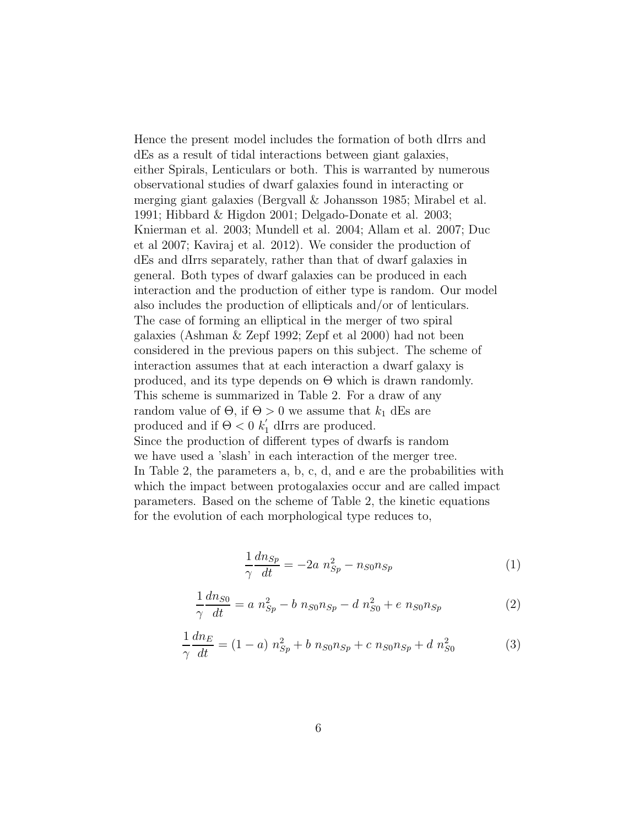Hence the present model includes the formation of both dIrrs and dEs as a result of tidal interactions between giant galaxies, either Spirals, Lenticulars or both. This is warranted by numerous observational studies of dwarf galaxies found in interacting or merging giant galaxies (Bergvall & Johansson 1985; Mirabel et al. 1991; Hibbard & Higdon 2001; Delgado-Donate et al. 2003; Knierman et al. 2003; Mundell et al. 2004; Allam et al. 2007; Duc et al 2007; Kaviraj et al. 2012). We consider the production of dEs and dIrrs separately, rather than that of dwarf galaxies in general. Both types of dwarf galaxies can be produced in each interaction and the production of either type is random. Our model also includes the production of ellipticals and/or of lenticulars. The case of forming an elliptical in the merger of two spiral galaxies (Ashman & Zepf 1992; Zepf et al 2000) had not been considered in the previous papers on this subject. The scheme of interaction assumes that at each interaction a dwarf galaxy is produced, and its type depends on Θ which is drawn randomly. This scheme is summarized in Table 2. For a draw of any random value of  $\Theta$ , if  $\Theta > 0$  we assume that  $k_1$  dEs are produced and if  $\Theta < 0$   $k'_1$  dIrrs are produced. Since the production of different types of dwarfs is random we have used a 'slash' in each interaction of the merger tree. In Table 2, the parameters a, b, c, d, and e are the probabilities with which the impact between protogalaxies occur and are called impact parameters. Based on the scheme of Table 2, the kinetic equations for the evolution of each morphological type reduces to,

$$
\frac{1}{\gamma} \frac{dn_{Sp}}{dt} = -2a \ n_{Sp}^2 - n_{S0} n_{Sp} \tag{1}
$$

$$
\frac{1}{\gamma} \frac{dn_{S0}}{dt} = a n_{Sp}^2 - b n_{S0} n_{Sp} - d n_{S0}^2 + e n_{S0} n_{Sp}
$$
\n(2)

$$
\frac{1}{\gamma} \frac{dn_E}{dt} = (1 - a) n_{Sp}^2 + b n_{S0} n_{Sp} + c n_{S0} n_{Sp} + d n_{S0}^2 \tag{3}
$$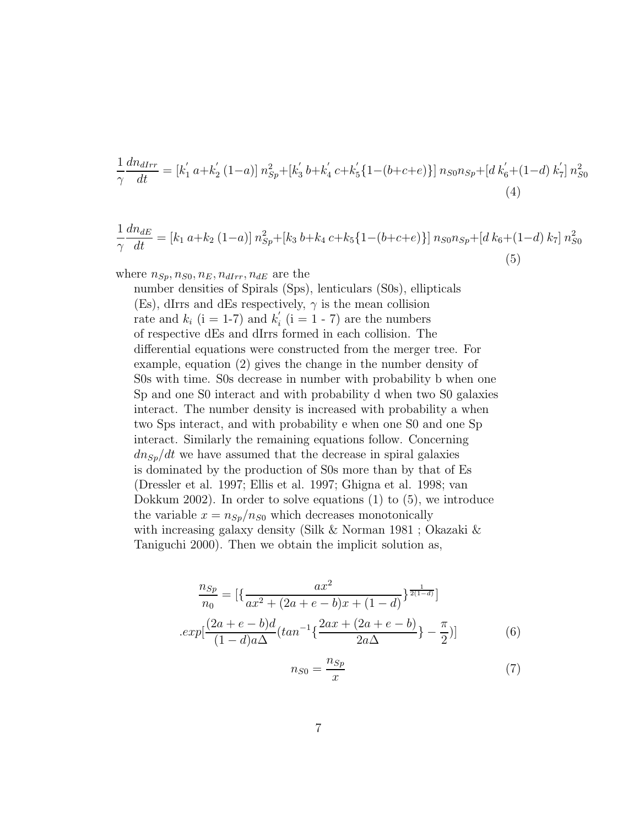$$
\frac{1}{\gamma} \frac{dn_{dIrr}}{dt} = [k'_1 a + k'_2 (1 - a)] n_{Sp}^2 + [k'_3 b + k'_4 c + k'_5 \{1 - (b + c + e)\}] n_{S0} n_{Sp} + [d k'_6 + (1 - d) k'_7] n_{S0}^2
$$
\n(4)

$$
\frac{1}{\gamma} \frac{dn_{dE}}{dt} = [k_1 \ a + k_2 \ (1 - a)] \ n_{Sp}^2 + [k_3 \ b + k_4 \ c + k_5 \{1 - (b + c + e)\}] \ n_{SO} n_{Sp} + [d \ k_6 + (1 - d) \ k_7] \ n_{SO}^2 \tag{5}
$$

where  $n_{Sp}, n_{SO}, n_E, n_{dIrr}, n_{dE}$  are the

number densities of Spirals (Sps), lenticulars (S0s), ellipticals (Es), dIrrs and dEs respectively,  $\gamma$  is the mean collision rate and  $k_i$  (i = 1-7) and  $k'_i$  $i(i = 1 - 7)$  are the numbers of respective dEs and dIrrs formed in each collision. The differential equations were constructed from the merger tree. For example, equation (2) gives the change in the number density of S0s with time. S0s decrease in number with probability b when one Sp and one S0 interact and with probability d when two S0 galaxies interact. The number density is increased with probability a when two Sps interact, and with probability e when one S0 and one Sp interact. Similarly the remaining equations follow. Concerning  $dn_{Sp}/dt$  we have assumed that the decrease in spiral galaxies is dominated by the production of S0s more than by that of Es (Dressler et al. 1997; Ellis et al. 1997; Ghigna et al. 1998; van Dokkum 2002). In order to solve equations (1) to (5), we introduce the variable  $x = n_{Sp}/n_{S0}$  which decreases monotonically with increasing galaxy density (Silk & Norman 1981 ; Okazaki & Taniguchi 2000). Then we obtain the implicit solution as,

$$
\frac{n_{Sp}}{n_0} = \left[ \left\{ \frac{ax^2}{ax^2 + (2a + e - b)x + (1 - d)} \right\}^{\frac{1}{2(1 - d)}} \right]
$$

$$
.exp[\frac{(2a + e - b)d}{(1 - d)a\Delta}(tan^{-1}\left\{ \frac{2ax + (2a + e - b)}{2a\Delta} \right\} - \frac{\pi}{2})] \tag{6}
$$

$$
n_{S0} = \frac{n_{Sp}}{x} \tag{7}
$$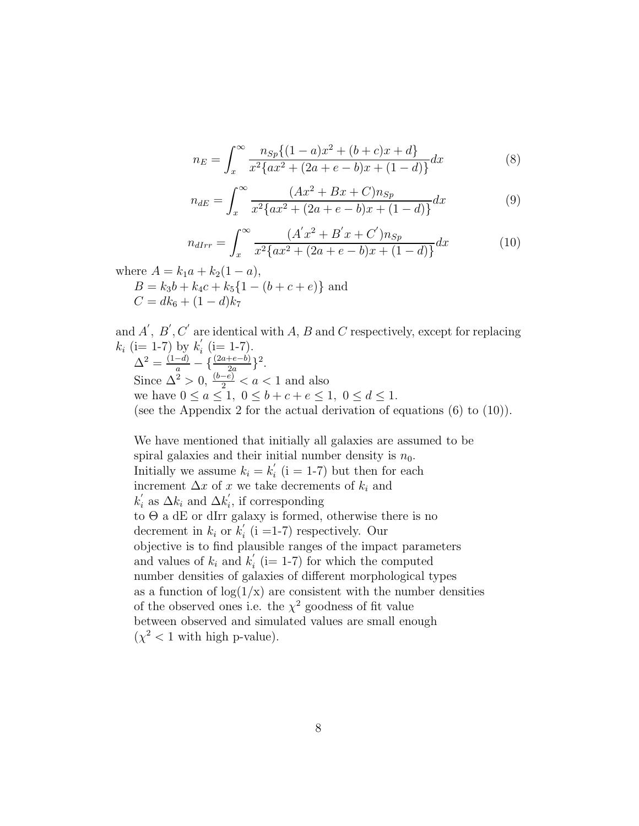$$
n_E = \int_x^{\infty} \frac{n_{Sp}\{(1-a)x^2 + (b+c)x + d\}}{x^2 \{ax^2 + (2a+e-b)x + (1-d)\}} dx
$$
 (8)

$$
n_{dE} = \int_{x}^{\infty} \frac{(Ax^2 + Bx + C)n_{Sp}}{x^2 \{ax^2 + (2a + e - b)x + (1 - d)\}} dx
$$
(9)

$$
n_{dIrr} = \int_{x}^{\infty} \frac{(A'x^{2} + B'x + C')n_{Sp}}{x^{2}\{ax^{2} + (2a + e - b)x + (1 - d)\}} dx
$$
 (10)

where  $A = k_1a + k_2(1 - a)$ ,  $B = k_3b + k_4c + k_5\{1 - (b + c + e)\}\$ and  $C = dk_6 + (1 - d)k_7$ 

and  $A'$ ,  $B'$ ,  $C'$  are identical with A, B and C respectively, except for replacing  $k_i$  (i= 1-7) by  $k'_i$  $i \ (i=1-7)$ .  $\Delta^2 = \frac{(1-d)}{a} - \{\frac{(2a+e-b)}{2a}\}^2.$ Since  $\Delta^2 > 0$ ,  $\frac{(b-e)}{2} < a < 1$  and also we have  $0 \le a \le 1, 0 \le b + c + e \le 1, 0 \le d \le 1$ . (see the Appendix 2 for the actual derivation of equations (6) to (10)).

We have mentioned that initially all galaxies are assumed to be spiral galaxies and their initial number density is  $n_0$ . Initially we assume  $k_i = k'_i$  $i \n(i = 1-7)$  but then for each increment  $\Delta x$  of x we take decrements of  $k_i$  and  $k_i'$  as  $\Delta k_i$  and  $\Delta k_i'$  $i<sub>i</sub>$ , if corresponding to Θ a dE or dIrr galaxy is formed, otherwise there is no decrement in  $k_i$  or  $k'_i$  $i(i = 1-7)$  respectively. Our objective is to find plausible ranges of the impact parameters and values of  $k_i$  and  $k'_i$  $i(i=1-7)$  for which the computed number densities of galaxies of different morphological types as a function of  $log(1/x)$  are consistent with the number densities of the observed ones i.e. the  $\chi^2$  goodness of fit value between observed and simulated values are small enough  $(\chi^2 < 1$  with high p-value).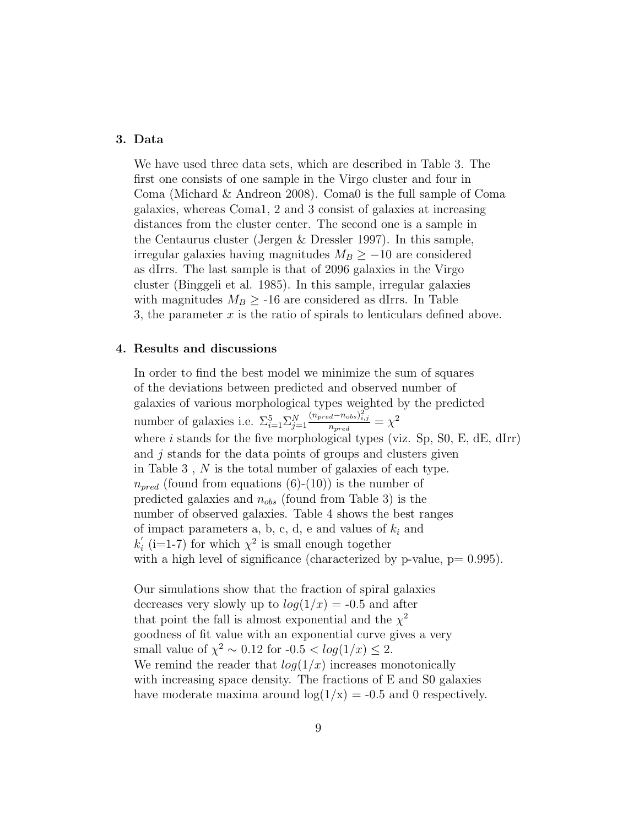# 3. Data

We have used three data sets, which are described in Table 3. The first one consists of one sample in the Virgo cluster and four in Coma (Michard & Andreon 2008). Coma0 is the full sample of Coma galaxies, whereas Coma1, 2 and 3 consist of galaxies at increasing distances from the cluster center. The second one is a sample in the Centaurus cluster (Jergen & Dressler 1997). In this sample, irregular galaxies having magnitudes  $M_B \geq -10$  are considered as dIrrs. The last sample is that of 2096 galaxies in the Virgo cluster (Binggeli et al. 1985). In this sample, irregular galaxies with magnitudes  $M_B \geq -16$  are considered as dIrrs. In Table 3, the parameter  $x$  is the ratio of spirals to lenticulars defined above.

#### 4. Results and discussions

In order to find the best model we minimize the sum of squares of the deviations between predicted and observed number of galaxies of various morphological types weighted by the predicted number of galaxies i.e.  $\Sigma_{i=1}^{5} \Sigma_{j=1}^{N}$  $\frac{(n_{pred}-n_{obs})_{i,j}^2}{n_{pred}}=\chi^2$ where i stands for the five morphological types (viz. Sp,  $S_0$ , E, dE, dIrr) and *j* stands for the data points of groups and clusters given in Table 3 , N is the total number of galaxies of each type.  $n_{pred}$  (found from equations (6)-(10)) is the number of predicted galaxies and  $n_{obs}$  (found from Table 3) is the number of observed galaxies. Table 4 shows the best ranges of impact parameters a, b, c, d, e and values of  $k_i$  and  $k_{i}^{\prime}$  $i$  (i=1-7) for which  $\chi^2$  is small enough together with a high level of significance (characterized by p-value,  $p= 0.995$ ).

Our simulations show that the fraction of spiral galaxies decreases very slowly up to  $log(1/x) = -0.5$  and after that point the fall is almost exponential and the  $\chi^2$ goodness of fit value with an exponential curve gives a very small value of  $\chi^2 \sim 0.12$  for  $-0.5 < log(1/x) \le 2$ . We remind the reader that  $log(1/x)$  increases monotonically with increasing space density. The fractions of E and S0 galaxies have moderate maxima around  $log(1/x) = -0.5$  and 0 respectively.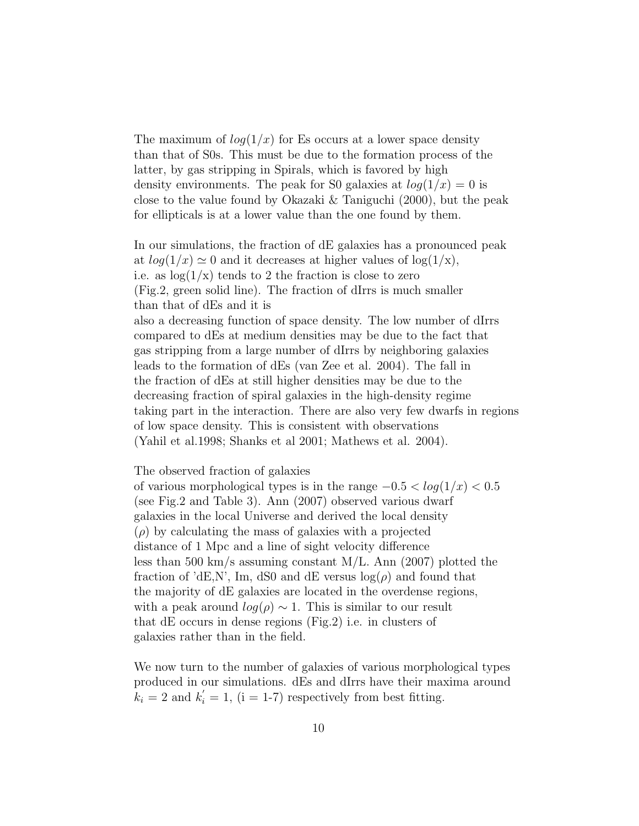The maximum of  $log(1/x)$  for Es occurs at a lower space density than that of S0s. This must be due to the formation process of the latter, by gas stripping in Spirals, which is favored by high density environments. The peak for S0 galaxies at  $log(1/x) = 0$  is close to the value found by Okazaki & Taniguchi (2000), but the peak for ellipticals is at a lower value than the one found by them.

In our simulations, the fraction of dE galaxies has a pronounced peak at  $log(1/x) \simeq 0$  and it decreases at higher values of  $log(1/x)$ , i.e. as  $\log(1/x)$  tends to 2 the fraction is close to zero (Fig.2, green solid line). The fraction of dIrrs is much smaller than that of dEs and it is also a decreasing function of space density. The low number of dIrrs compared to dEs at medium densities may be due to the fact that gas stripping from a large number of dIrrs by neighboring galaxies leads to the formation of dEs (van Zee et al. 2004). The fall in the fraction of dEs at still higher densities may be due to the decreasing fraction of spiral galaxies in the high-density regime taking part in the interaction. There are also very few dwarfs in regions of low space density. This is consistent with observations (Yahil et al.1998; Shanks et al 2001; Mathews et al. 2004).

The observed fraction of galaxies

of various morphological types is in the range  $-0.5 < log(1/x) < 0.5$ (see Fig.2 and Table 3). Ann (2007) observed various dwarf galaxies in the local Universe and derived the local density  $(\rho)$  by calculating the mass of galaxies with a projected distance of 1 Mpc and a line of sight velocity difference less than 500 km/s assuming constant M/L. Ann (2007) plotted the fraction of 'dE,N', Im, dS0 and dE versus  $log(\rho)$  and found that the majority of dE galaxies are located in the overdense regions, with a peak around  $log(\rho) \sim 1$ . This is similar to our result that dE occurs in dense regions (Fig.2) i.e. in clusters of galaxies rather than in the field.

We now turn to the number of galaxies of various morphological types produced in our simulations. dEs and dIrrs have their maxima around  $\hat{k}_i = 2$  and  $k'_i = 1$ , (i = 1-7) respectively from best fitting.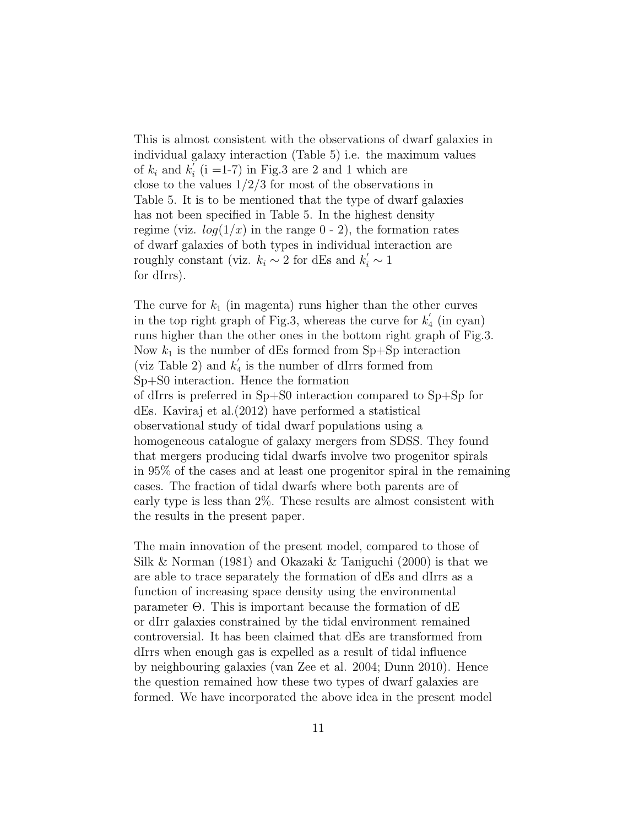This is almost consistent with the observations of dwarf galaxies in individual galaxy interaction (Table 5) i.e. the maximum values of  $k_i$  and  $k_i^{\prime}$  $i_i$  (i =1-7) in Fig.3 are 2 and 1 which are close to the values  $1/2/3$  for most of the observations in Table 5. It is to be mentioned that the type of dwarf galaxies has not been specified in Table 5. In the highest density regime (viz.  $log(1/x)$  in the range 0 - 2), the formation rates of dwarf galaxies of both types in individual interaction are roughly constant (viz.  $k_i \sim 2$  for dEs and  $k'_i \sim 1$ for dIrrs).

The curve for  $k_1$  (in magenta) runs higher than the other curves in the top right graph of Fig.3, whereas the curve for  $k'_2$ 4 (in cyan) runs higher than the other ones in the bottom right graph of Fig.3. Now  $k_1$  is the number of dEs formed from Sp+Sp interaction (viz Table 2) and  $k'_4$  $\frac{1}{4}$  is the number of dIrrs formed from Sp+S0 interaction. Hence the formation of dIrrs is preferred in Sp+S0 interaction compared to Sp+Sp for dEs. Kaviraj et al.(2012) have performed a statistical observational study of tidal dwarf populations using a homogeneous catalogue of galaxy mergers from SDSS. They found that mergers producing tidal dwarfs involve two progenitor spirals in 95% of the cases and at least one progenitor spiral in the remaining cases. The fraction of tidal dwarfs where both parents are of early type is less than 2%. These results are almost consistent with the results in the present paper.

The main innovation of the present model, compared to those of Silk & Norman (1981) and Okazaki & Taniguchi (2000) is that we are able to trace separately the formation of dEs and dIrrs as a function of increasing space density using the environmental parameter Θ. This is important because the formation of dE or dIrr galaxies constrained by the tidal environment remained controversial. It has been claimed that dEs are transformed from dIrrs when enough gas is expelled as a result of tidal influence by neighbouring galaxies (van Zee et al. 2004; Dunn 2010). Hence the question remained how these two types of dwarf galaxies are formed. We have incorporated the above idea in the present model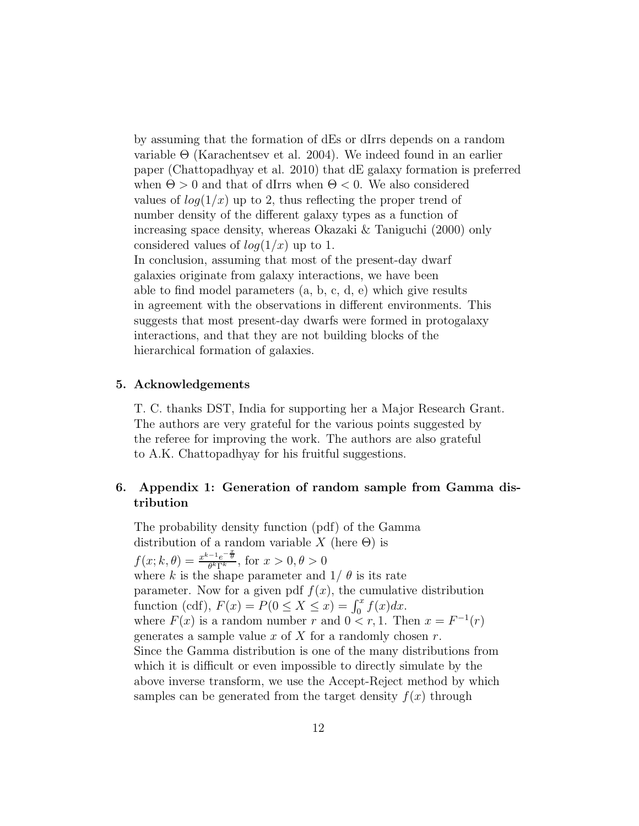by assuming that the formation of dEs or dIrrs depends on a random variable  $\Theta$  (Karachentsev et al. 2004). We indeed found in an earlier paper (Chattopadhyay et al. 2010) that dE galaxy formation is preferred when  $\Theta > 0$  and that of dIrrs when  $\Theta < 0$ . We also considered values of  $log(1/x)$  up to 2, thus reflecting the proper trend of number density of the different galaxy types as a function of increasing space density, whereas Okazaki & Taniguchi (2000) only considered values of  $log(1/x)$  up to 1. In conclusion, assuming that most of the present-day dwarf galaxies originate from galaxy interactions, we have been able to find model parameters (a, b, c, d, e) which give results in agreement with the observations in different environments. This suggests that most present-day dwarfs were formed in protogalaxy interactions, and that they are not building blocks of the hierarchical formation of galaxies.

#### 5. Acknowledgements

T. C. thanks DST, India for supporting her a Major Research Grant. The authors are very grateful for the various points suggested by the referee for improving the work. The authors are also grateful to A.K. Chattopadhyay for his fruitful suggestions.

# 6. Appendix 1: Generation of random sample from Gamma distribution

The probability density function (pdf) of the Gamma distribution of a random variable X (here  $\Theta$ ) is  $f(x; k, \theta) = \frac{x^{k-1}e^{-\frac{x}{\theta}}}{\theta^k\Gamma^k}$  $\frac{f^{-1}e^{-\theta}}{\theta^k\Gamma^k}$ , for  $x>0, \theta>0$ where k is the shape parameter and  $1/\theta$  is its rate parameter. Now for a given pdf  $f(x)$ , the cumulative distribution function (cdf),  $F(x) = P(0 \le X \le x) = \int_0^x f(x) dx$ . where  $F(x)$  is a random number r and  $0 < r, 1$ . Then  $x = F^{-1}(r)$ generates a sample value  $x$  of  $X$  for a randomly chosen  $r$ . Since the Gamma distribution is one of the many distributions from which it is difficult or even impossible to directly simulate by the above inverse transform, we use the Accept-Reject method by which samples can be generated from the target density  $f(x)$  through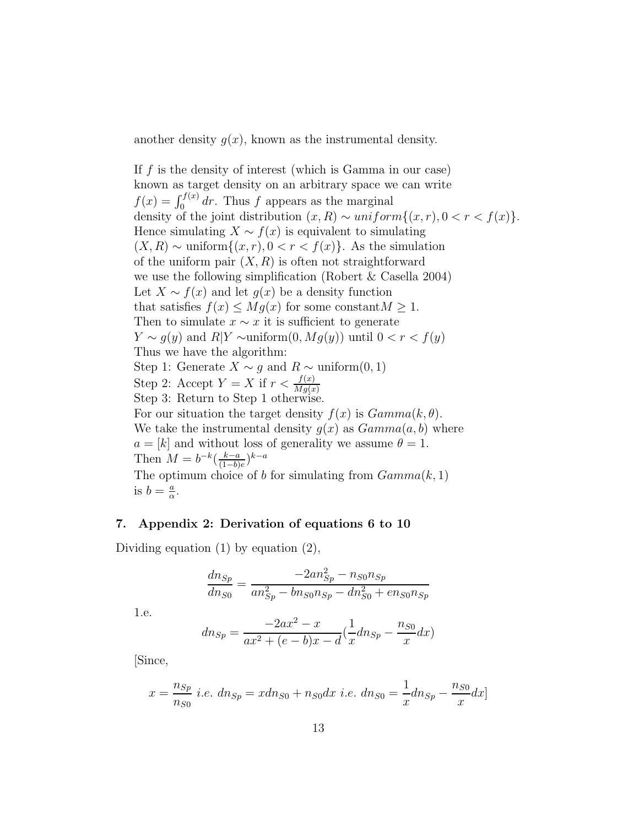another density  $q(x)$ , known as the instrumental density.

If  $f$  is the density of interest (which is Gamma in our case) known as target density on an arbitrary space we can write  $f(x) = \int_0^{f(x)} dr$ . Thus f appears as the marginal density of the joint distribution  $(x, R) \sim uniform\{(x, r), 0 < r < f(x)\}.$ Hence simulating  $X \sim f(x)$  is equivalent to simulating  $(X, R) \sim \text{uniform}\{(x, r), 0 < r < f(x)\}\.$  As the simulation of the uniform pair  $(X, R)$  is often not straightforward we use the following simplification (Robert & Casella 2004) Let  $X \sim f(x)$  and let  $g(x)$  be a density function that satisfies  $f(x) \leq Mg(x)$  for some constant  $M \geq 1$ . Then to simulate  $x \sim x$  it is sufficient to generate  $Y \sim g(y)$  and  $R|Y \sim \text{uniform}(0, Mg(y))$  until  $0 < r < f(y)$ Thus we have the algorithm: Step 1: Generate  $X \sim g$  and  $R \sim \text{uniform}(0, 1)$ Step 2: Accept  $Y = X$  if  $r < \frac{f(x)}{Mg(x)}$ Step 3: Return to Step 1 otherwise. For our situation the target density  $f(x)$  is  $Gamma(k, \theta)$ . We take the instrumental density  $g(x)$  as  $Gamma(a, b)$  where  $a = [k]$  and without loss of generality we assume  $\theta = 1$ . Then  $M = b^{-k} \left( \frac{k-a}{(1-b)} \right)$  $\frac{k-a}{(1-b)e}$ <sup>k-a</sup> The optimum choice of b for simulating from  $Gamma(k, 1)$ is  $b = \frac{a}{a}$  $\frac{a}{\alpha}$ .

# 7. Appendix 2: Derivation of equations 6 to 10

Dividing equation (1) by equation (2),

$$
\frac{dn_{Sp}}{dn_{S0}} = \frac{-2an_{Sp}^2 - n_{S0}n_{Sp}}{an_{Sp}^2 - bn_{S0}n_{Sp} - dn_{S0}^2 + en_{S0}n_{Sp}}
$$

1.e.

$$
dn_{Sp} = \frac{-2ax^2 - x}{ax^2 + (e - b)x - d} \left(\frac{1}{x} dn_{Sp} - \frac{n_{S0}}{x} dx\right)
$$

[Since,

$$
x = \frac{n_{Sp}}{n_{S0}} \ i.e. \ d n_{Sp} = x d n_{S0} + n_{S0} dx \ i.e. \ d n_{S0} = \frac{1}{x} d n_{Sp} - \frac{n_{S0}}{x} dx
$$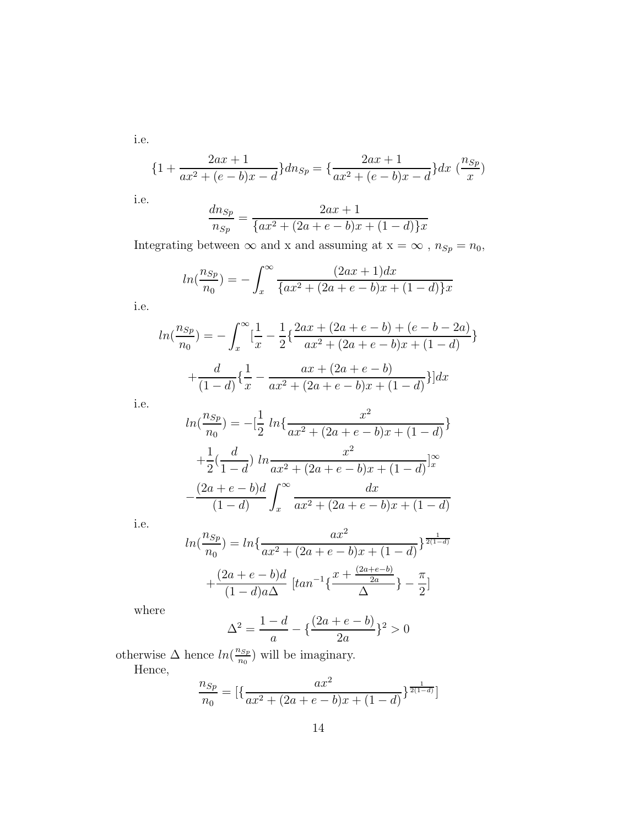i.e.

$$
\{1 + \frac{2ax + 1}{ax^2 + (e - b)x - d}\}dn_{Sp} = \{\frac{2ax + 1}{ax^2 + (e - b)x - d}\}dx \; (\frac{n_{Sp}}{x})
$$

i.e.

$$
\frac{dn_{Sp}}{n_{Sp}} = \frac{2ax+1}{\{ax^2 + (2a+e-b)x + (1-d)\}x}
$$

Integrating between  $\infty$  and  ${\bf x}$  and assuming at  ${\bf x}=\infty$  ,  $n_{Sp}=n_0,$ 

$$
ln(\frac{n_{Sp}}{n_0}) = -\int_x^{\infty} \frac{(2ax+1)dx}{\{ax^2 + (2a+e-b)x + (1-d)\}x}
$$

i.e.

$$
ln(\frac{n_{Sp}}{n_0}) = -\int_x^{\infty} \left[\frac{1}{x} - \frac{1}{2}\left\{\frac{2ax + (2a + e - b) + (e - b - 2a)}{ax^2 + (2a + e - b)x + (1 - d)}\right\} + \frac{d}{(1 - d)}\left\{\frac{1}{x} - \frac{ax + (2a + e - b)}{ax^2 + (2a + e - b)x + (1 - d)}\right\}\right] dx
$$

i.e.

$$
ln(\frac{n_{Sp}}{n_0}) = -[\frac{1}{2}ln{\frac{x^2}{ax^2 + (2a + e - b)x + (1 - d)}} + \frac{1}{2}(\frac{d}{1 - d})ln{\frac{x^2}{ax^2 + (2a + e - b)x + (1 - d)}}]_{x}^{\infty}
$$

$$
-\frac{(2a + e - b)d}{(1 - d)}\int_{x}^{\infty} \frac{dx}{ax^2 + (2a + e - b)x + (1 - d)}
$$

i.e.

$$
ln(\frac{n_{Sp}}{n_0}) = ln\{\frac{ax^2}{ax^2 + (2a + e - b)x + (1 - d)}\}^{\frac{1}{2(1 - d)}}
$$

$$
+ \frac{(2a + e - b)d}{(1 - d)a\Delta} [tan^{-1}\{\frac{x + \frac{(2a + e - b)}{2a}}{\Delta}\} - \frac{\pi}{2}]
$$

where

$$
\Delta^2 = \frac{1-d}{a} - \left\{ \frac{(2a + e - b)}{2a} \right\}^2 > 0
$$

otherwise  $\Delta$  hence  $ln(\frac{n_{Sp}}{n_0})$  $\frac{\log p}{n_0}$ ) will be imaginary.

Hence,

$$
\frac{n_{Sp}}{n_0} = \left[ \left\{ \frac{ax^2}{ax^2 + (2a + e - b)x + (1 - d)} \right\}^{\frac{1}{2(1 - d)}} \right]
$$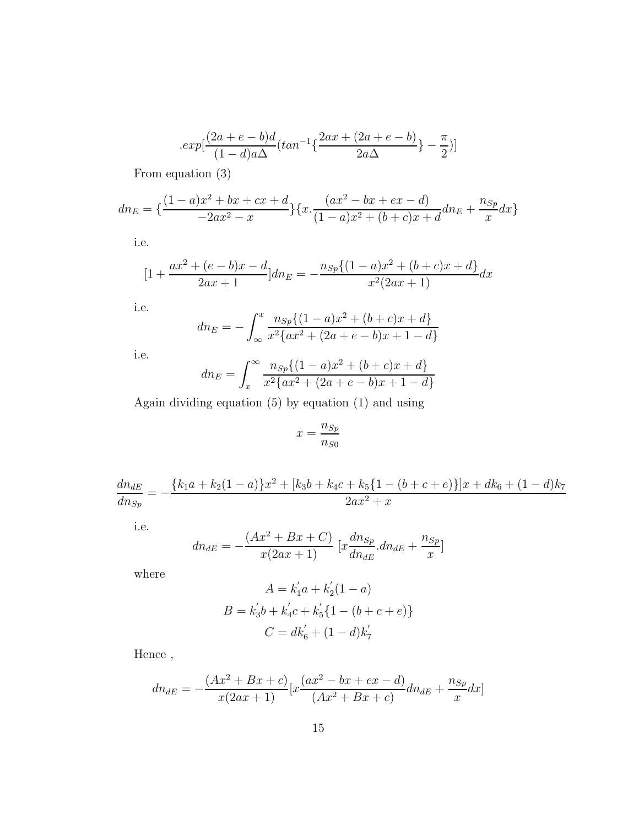$$
.exp[\frac{(2a + e - b)d}{(1 - d)a\Delta}(tan^{-1}\{\frac{2ax + (2a + e - b)}{2a\Delta}\} - \frac{\pi}{2})]
$$

From equation (3)

$$
dn_E = \left\{ \frac{(1-a)x^2 + bx + cx + d}{-2ax^2 - x} \right\} \left\{ x \cdot \frac{(ax^2 - bx + ex - d)}{(1-a)x^2 + (b+c)x + d} dn_E + \frac{n_{Sp}}{x} dx \right\}
$$

i.e.

$$
[1 + \frac{ax^2 + (e - b)x - d}{2ax + 1}]dn_E = -\frac{n_{Sp}\{(1 - a)x^2 + (b + c)x + d\}}{x^2(2ax + 1)}dx
$$

i.e.

$$
dn_E = -\int_{\infty}^{x} \frac{n_{Sp}\{(1-a)x^2 + (b+c)x + d\}}{x^2 \{ax^2 + (2a + e - b)x + 1 - d\}}
$$

i.e.

$$
dn_E = \int_x^{\infty} \frac{n_{Sp}\{(1-a)x^2 + (b+c)x + d\}}{x^2 \{ax^2 + (2a + e - b)x + 1 - d\}}
$$

Again dividing equation (5) by equation (1) and using

$$
x = \frac{n_{Sp}}{n_{S0}}
$$

$$
\frac{dn_{dE}}{dn_{Sp}} = -\frac{\{k_1a + k_2(1-a)\}x^2 + [k_3b + k_4c + k_5\{1 - (b+c+e)\}]x + dk_6 + (1-d)k_7}{2ax^2 + x}
$$

i.e.

$$
dn_{dE} = -\frac{(Ax^2 + Bx + C)}{x(2ax + 1)} [x \frac{dn_{Sp}}{dn_{dE}} . dn_{dE} + \frac{n_{Sp}}{x}]
$$

where

$$
A = k'_1 a + k'_2 (1 - a)
$$
  
\n
$$
B = k'_3 b + k'_4 c + k'_5 \{1 - (b + c + e)\}
$$
  
\n
$$
C = dk'_6 + (1 - d)k'_7
$$

Hence ,

$$
dn_{dE} = -\frac{(Ax^2 + Bx + c)}{x(2ax + 1)} [x \frac{(ax^2 - bx + ex - d)}{(Ax^2 + Bx + c)} dn_{dE} + \frac{n_{Sp}}{x} dx]
$$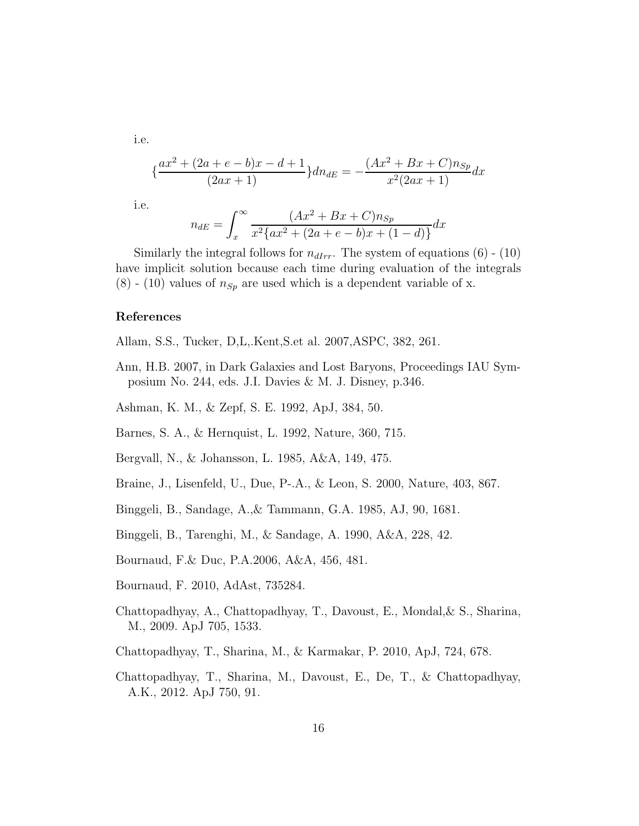i.e.

$$
\left\{\frac{ax^2 + (2a + e - b)x - d + 1}{(2ax + 1)}\right\}dn_{dE} = -\frac{(Ax^2 + Bx + C)n_{Sp}}{x^2(2ax + 1)}dx
$$

i.e.

$$
n_{dE} = \int_{x}^{\infty} \frac{(Ax^2 + Bx + C)n_{Sp}}{x^2 \{ax^2 + (2a + e - b)x + (1 - d)\}} dx
$$

Similarly the integral follows for  $n_{dIrr}$ . The system of equations (6) - (10) have implicit solution because each time during evaluation of the integrals  $(8)$  - (10) values of  $n_{Sp}$  are used which is a dependent variable of x.

#### References

- Allam, S.S., Tucker, D,L,.Kent,S.et al. 2007,ASPC, 382, 261.
- Ann, H.B. 2007, in Dark Galaxies and Lost Baryons, Proceedings IAU Symposium No. 244, eds. J.I. Davies & M. J. Disney, p.346.
- Ashman, K. M., & Zepf, S. E. 1992, ApJ, 384, 50.
- Barnes, S. A., & Hernquist, L. 1992, Nature, 360, 715.
- Bergvall, N., & Johansson, L. 1985, A&A, 149, 475.
- Braine, J., Lisenfeld, U., Due, P-.A., & Leon, S. 2000, Nature, 403, 867.
- Binggeli, B., Sandage, A.,& Tammann, G.A. 1985, AJ, 90, 1681.
- Binggeli, B., Tarenghi, M., & Sandage, A. 1990, A&A, 228, 42.
- Bournaud, F.& Duc, P.A.2006, A&A, 456, 481.
- Bournaud, F. 2010, AdAst, 735284.
- Chattopadhyay, A., Chattopadhyay, T., Davoust, E., Mondal,& S., Sharina, M., 2009. ApJ 705, 1533.
- Chattopadhyay, T., Sharina, M., & Karmakar, P. 2010, ApJ, 724, 678.
- Chattopadhyay, T., Sharina, M., Davoust, E., De, T., & Chattopadhyay, A.K., 2012. ApJ 750, 91.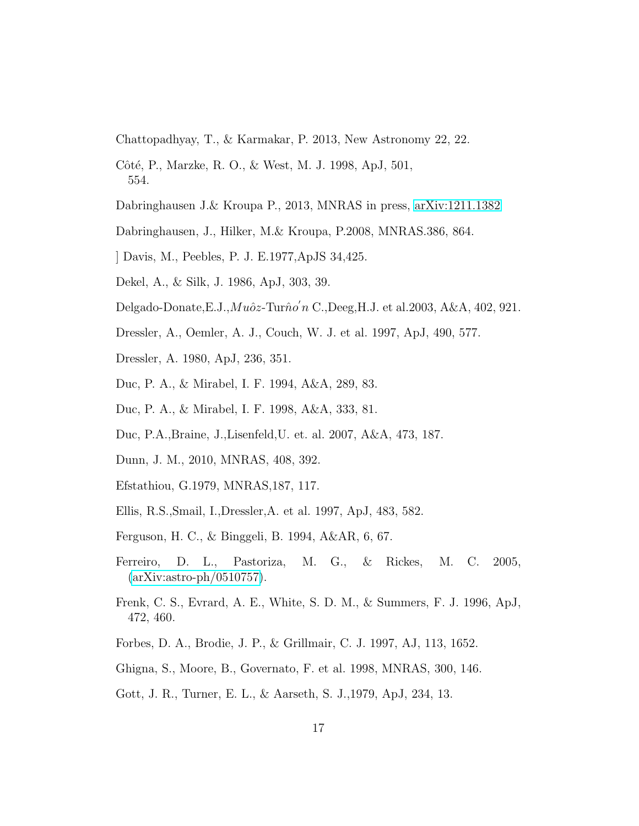Chattopadhyay, T., & Karmakar, P. 2013, New Astronomy 22, 22.

- Côté, P., Marzke, R. O., & West, M. J. 1998, ApJ, 501, 554.
- Dabringhausen J.& Kroupa P., 2013, MNRAS in press, [arXiv:1211.1382](http://arxiv.org/abs/1211.1382)
- Dabringhausen, J., Hilker, M.& Kroupa, P.2008, MNRAS.386, 864.
- ] Davis, M., Peebles, P. J. E.1977,ApJS 34,425.
- Dekel, A., & Silk, J. 1986, ApJ, 303, 39.
- Delgado-Donate, E.J.,  $Mu\^o z$ -Tur $\hat{n}o'n$  C., Deeg, H.J. et al. 2003, A&A, 402, 921.
- Dressler, A., Oemler, A. J., Couch, W. J. et al. 1997, ApJ, 490, 577.
- Dressler, A. 1980, ApJ, 236, 351.
- Duc, P. A., & Mirabel, I. F. 1994, A&A, 289, 83.
- Duc, P. A., & Mirabel, I. F. 1998, A&A, 333, 81.
- Duc, P.A.,Braine, J.,Lisenfeld,U. et. al. 2007, A&A, 473, 187.
- Dunn, J. M., 2010, MNRAS, 408, 392.
- Efstathiou, G.1979, MNRAS,187, 117.
- Ellis, R.S.,Smail, I.,Dressler,A. et al. 1997, ApJ, 483, 582.
- Ferguson, H. C., & Binggeli, B. 1994, A&AR, 6, 67.
- Ferreiro, D. L., Pastoriza, M. G., & Rickes, M. C. 2005, [\(arXiv:astro-ph/0510757\)](http://arxiv.org/abs/astro-ph/0510757).
- Frenk, C. S., Evrard, A. E., White, S. D. M., & Summers, F. J. 1996, ApJ, 472, 460.
- Forbes, D. A., Brodie, J. P., & Grillmair, C. J. 1997, AJ, 113, 1652.
- Ghigna, S., Moore, B., Governato, F. et al. 1998, MNRAS, 300, 146.
- Gott, J. R., Turner, E. L., & Aarseth, S. J.,1979, ApJ, 234, 13.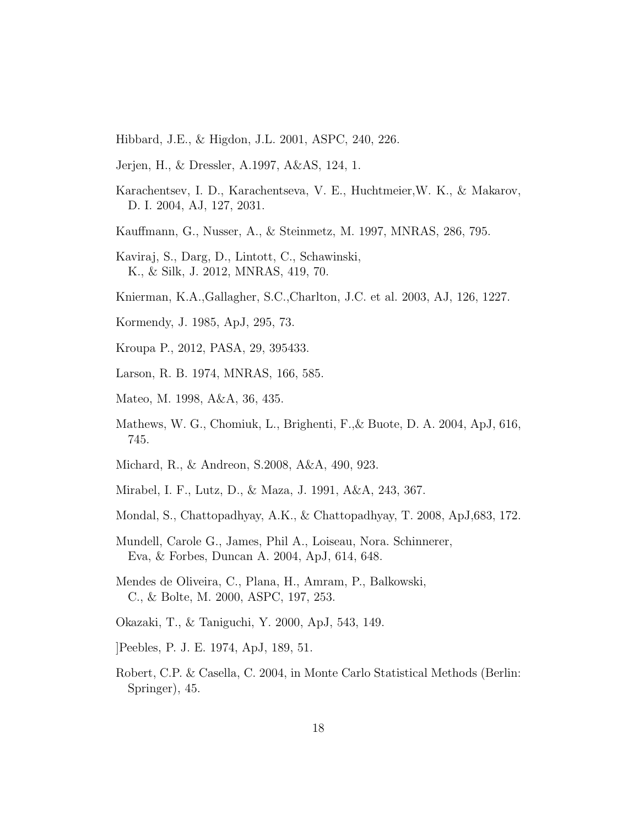- Hibbard, J.E., & Higdon, J.L. 2001, ASPC, 240, 226.
- Jerjen, H., & Dressler, A.1997, A&AS, 124, 1.
- Karachentsev, I. D., Karachentseva, V. E., Huchtmeier,W. K., & Makarov, D. I. 2004, AJ, 127, 2031.
- Kauffmann, G., Nusser, A., & Steinmetz, M. 1997, MNRAS, 286, 795.
- Kaviraj, S., Darg, D., Lintott, C., Schawinski, K., & Silk, J. 2012, MNRAS, 419, 70.
- Knierman, K.A.,Gallagher, S.C.,Charlton, J.C. et al. 2003, AJ, 126, 1227.
- Kormendy, J. 1985, ApJ, 295, 73.
- Kroupa P., 2012, PASA, 29, 395433.
- Larson, R. B. 1974, MNRAS, 166, 585.
- Mateo, M. 1998, A&A, 36, 435.
- Mathews, W. G., Chomiuk, L., Brighenti, F.,& Buote, D. A. 2004, ApJ, 616, 745.
- Michard, R., & Andreon, S.2008, A&A, 490, 923.
- Mirabel, I. F., Lutz, D., & Maza, J. 1991, A&A, 243, 367.
- Mondal, S., Chattopadhyay, A.K., & Chattopadhyay, T. 2008, ApJ,683, 172.
- Mundell, Carole G., James, Phil A., Loiseau, Nora. Schinnerer, Eva, & Forbes, Duncan A. 2004, ApJ, 614, 648.
- Mendes de Oliveira, C., Plana, H., Amram, P., Balkowski, C., & Bolte, M. 2000, ASPC, 197, 253.
- Okazaki, T., & Taniguchi, Y. 2000, ApJ, 543, 149.
- ]Peebles, P. J. E. 1974, ApJ, 189, 51.
- Robert, C.P. & Casella, C. 2004, in Monte Carlo Statistical Methods (Berlin: Springer), 45.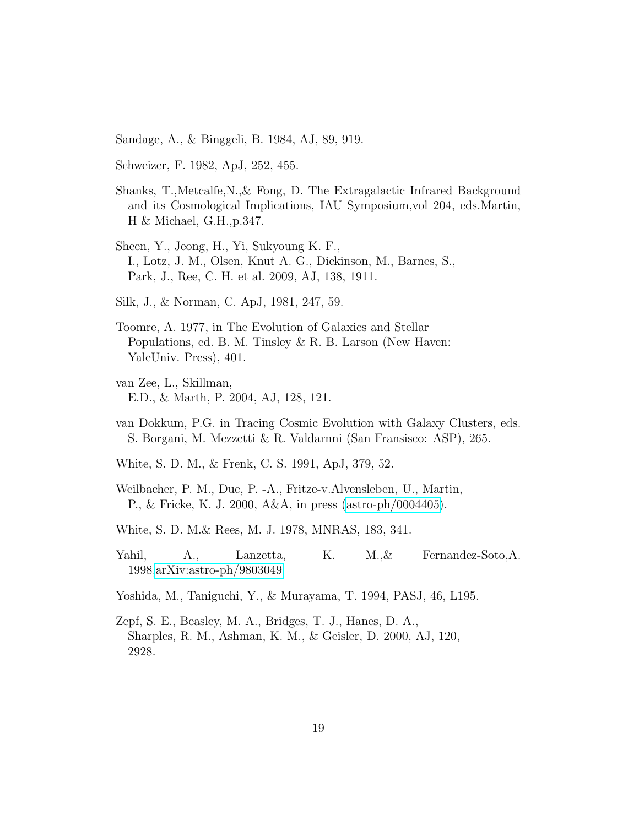Sandage, A., & Binggeli, B. 1984, AJ, 89, 919.

Schweizer, F. 1982, ApJ, 252, 455.

- Shanks, T.,Metcalfe,N.,& Fong, D. The Extragalactic Infrared Background and its Cosmological Implications, IAU Symposium,vol 204, eds.Martin, H & Michael, G.H.,p.347.
- Sheen, Y., Jeong, H., Yi, Sukyoung K. F., I., Lotz, J. M., Olsen, Knut A. G., Dickinson, M., Barnes, S., Park, J., Ree, C. H. et al. 2009, AJ, 138, 1911.
- Silk, J., & Norman, C. ApJ, 1981, 247, 59.
- Toomre, A. 1977, in The Evolution of Galaxies and Stellar Populations, ed. B. M. Tinsley & R. B. Larson (New Haven: YaleUniv. Press), 401.
- van Zee, L., Skillman, E.D., & Marth, P. 2004, AJ, 128, 121.
- van Dokkum, P.G. in Tracing Cosmic Evolution with Galaxy Clusters, eds. S. Borgani, M. Mezzetti & R. Valdarnni (San Fransisco: ASP), 265.
- White, S. D. M., & Frenk, C. S. 1991, ApJ, 379, 52.
- Weilbacher, P. M., Duc, P. -A., Fritze-v.Alvensleben, U., Martin, P., & Fricke, K. J. 2000, A&A, in press [\(astro-ph/0004405\)](http://arxiv.org/abs/astro-ph/0004405).
- White, S. D. M.& Rees, M. J. 1978, MNRAS, 183, 341.
- Yahil, A., Lanzetta, K. M.,& Fernandez-Soto,A. 1998[,arXiv:astro-ph/9803049.](http://arxiv.org/abs/astro-ph/9803049)
- Yoshida, M., Taniguchi, Y., & Murayama, T. 1994, PASJ, 46, L195.
- Zepf, S. E., Beasley, M. A., Bridges, T. J., Hanes, D. A., Sharples, R. M., Ashman, K. M., & Geisler, D. 2000, AJ, 120, 2928.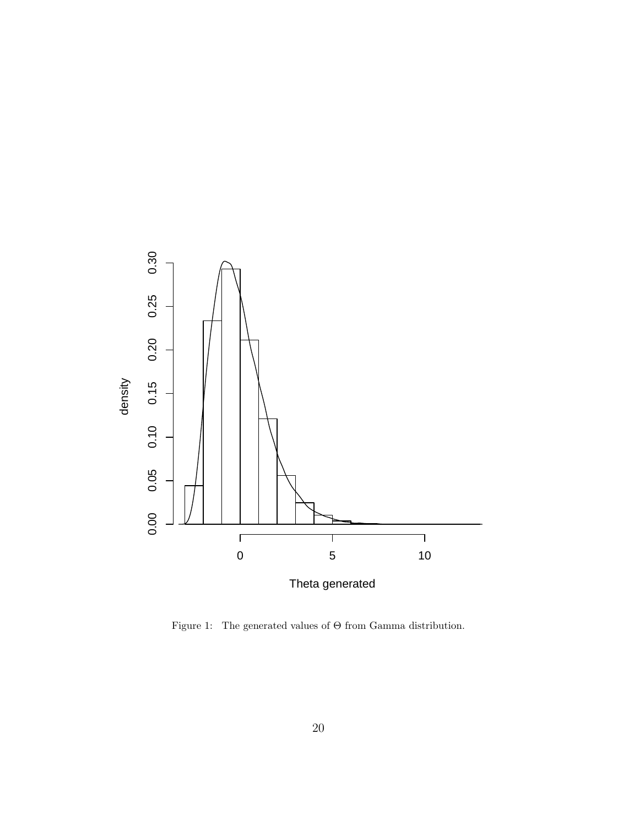

Figure 1: The generated values of  $\Theta$  from Gamma distribution.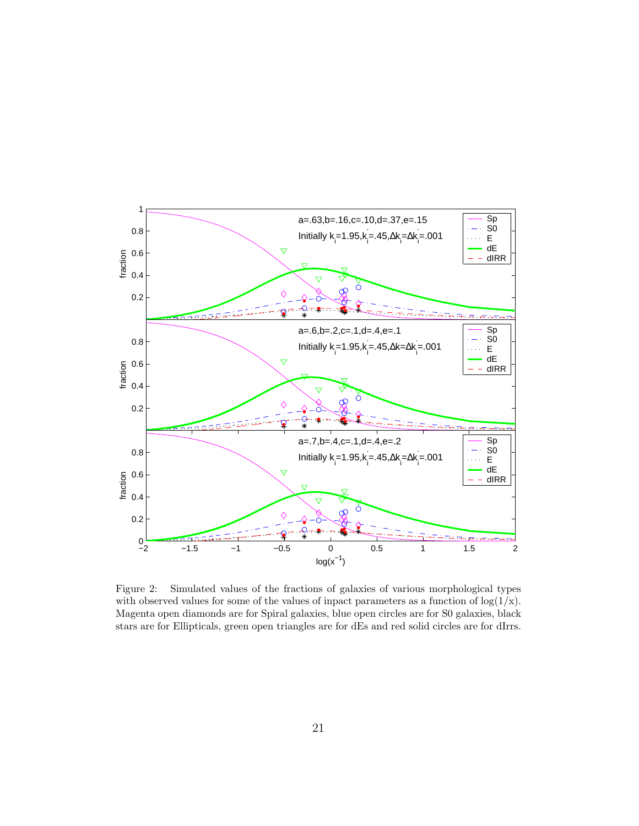

Figure 2: Simulated values of the fractions of galaxies of various morphological types with observed values for some of the values of inpact parameters as a function of  $log(1/x)$ . Magenta open diamonds are for Spiral galaxies, blue open circles are for S0 galaxies, black stars are for Ellipticals, green open triangles are for dEs and red solid circles are for dIrrs.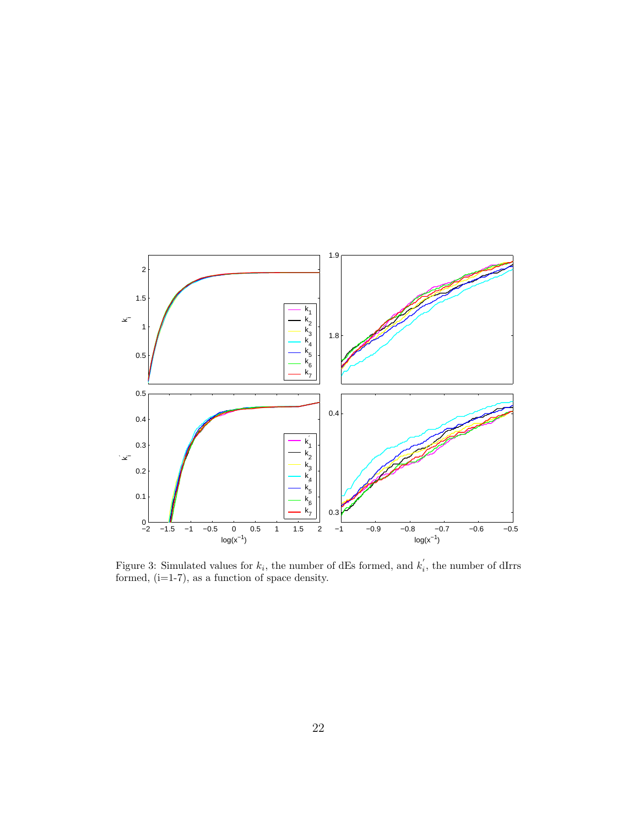

Figure 3: Simulated values for  $k_i$ , the number of dEs formed, and  $k_i$ , the number of dIrrs formed,  $(i=1-7)$ , as a function of space density.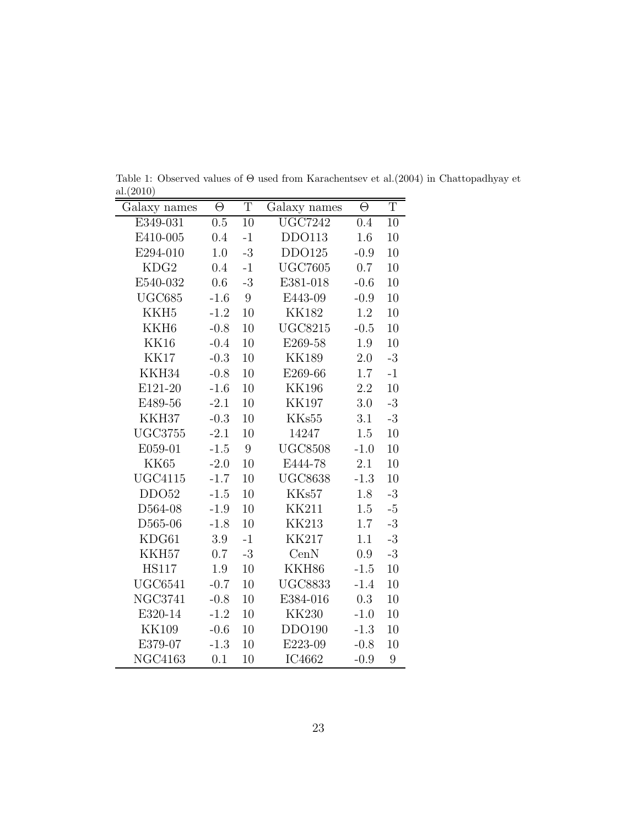| Galaxy names     | Θ      | T              | Galaxy names   | Θ      | $\mathbf T$ |
|------------------|--------|----------------|----------------|--------|-------------|
| E349-031         | 0.5    | 10             | <b>UGC7242</b> | 0.4    | 10          |
| E410-005         | 0.4    | $-1$           | DDO113         | 1.6    | 10          |
| E294-010         | 1.0    | $-3$           | DDO125         | $-0.9$ | 10          |
| KDG <sub>2</sub> | 0.4    | $-1$           | <b>UGC7605</b> | 0.7    | 10          |
| E540-032         | 0.6    | $-3$           | E381-018       | $-0.6$ | 10          |
| UGC685           | $-1.6$ | 9              | E443-09        | $-0.9$ | 10          |
| KKH <sub>5</sub> | $-1.2$ | 10             | <b>KK182</b>   | 1.2    | 10          |
| KKH <sub>6</sub> | $-0.8$ | 10             | <b>UGC8215</b> | $-0.5$ | 10          |
| <b>KK16</b>      | $-0.4$ | 10             | E269-58        | 1.9    | 10          |
| <b>KK17</b>      | $-0.3$ | 10             | <b>KK189</b>   | 2.0    | $-3$        |
| KKH34            | $-0.8$ | 10             | E269-66        | 1.7    | $-1$        |
| E121-20          | $-1.6$ | 10             | <b>KK196</b>   | 2.2    | 10          |
| E489-56          | $-2.1$ | 10             | <b>KK197</b>   | 3.0    | $-3$        |
| KKH37            | $-0.3$ | 10             | KKs55          | 3.1    | $-3$        |
| <b>UGC3755</b>   | $-2.1$ | 10             | 14247          | 1.5    | 10          |
| E059-01          | $-1.5$ | $9\phantom{.}$ | <b>UGC8508</b> | $-1.0$ | 10          |
| KK65             | $-2.0$ | 10             | E444-78        | 2.1    | 10          |
| <b>UGC4115</b>   | $-1.7$ | 10             | <b>UGC8638</b> | $-1.3$ | 10          |
| DDO52            | $-1.5$ | 10             | KKs57          | 1.8    | $-3$        |
| D564-08          | $-1.9$ | 10             | <b>KK211</b>   | 1.5    | $-5$        |
| D565-06          | $-1.8$ | 10             | <b>KK213</b>   | 1.7    | $-3$        |
| KDG61            | 3.9    | $-1$           | <b>KK217</b>   | 1.1    | $-3$        |
| KKH57            | 0.7    | $-3$           | CenN           | 0.9    | $-3$        |
| <b>HS117</b>     | 1.9    | 10             | KKH86          | $-1.5$ | 10          |
| <b>UGC6541</b>   | $-0.7$ | 10             | <b>UGC8833</b> | $-1.4$ | 10          |
| <b>NGC3741</b>   | $-0.8$ | 10             | E384-016       | 0.3    | 10          |
| E320-14          | $-1.2$ | 10             | <b>KK230</b>   | $-1.0$ | 10          |
| <b>KK109</b>     | $-0.6$ | 10             | DDO190         | $-1.3$ | 10          |
| E379-07          | $-1.3$ | 10             | E223-09        | $-0.8$ | 10          |
| <b>NGC4163</b>   | 0.1    | 10             | IC4662         | $-0.9$ | 9           |

Table 1: Observed values of  $\Theta$  used from Karachentsev et al.(2004) in Chattopadhyay et  $rac{al.(2010)}{al(2010)}$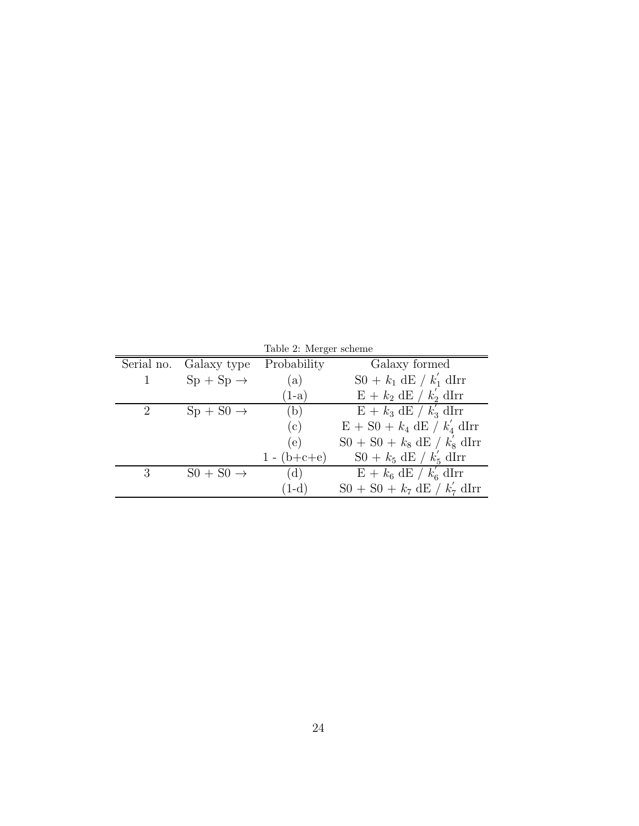|           |                                         | Table 2: Merger scheme |                                                |
|-----------|-----------------------------------------|------------------------|------------------------------------------------|
|           | Serial no. Galaxy type                  | Probability            | Galaxy formed                                  |
| $1 \quad$ | $Sp + Sp \rightarrow$                   | (a)                    | $S0 + k_1$ dE / $k'_1$ dIrr                    |
|           |                                         | $(1-a)$                | $E + k_2 dE / k'_2 dIrr$                       |
| 2         | $\mathrm{Sp} + \mathrm{S0} \rightarrow$ | (b)                    | $E + k_3 dE / k'_3 dIrr$                       |
|           |                                         | (c)                    | $E + S0 + k_4 dE / k'_4 dIrr$                  |
|           |                                         | (e)                    | $S_0 + S_0 + k_8$ dE / $k'_8$ dIrr             |
|           |                                         | $1 - (b+c+e)$          | $S_0 + k_5$ dE / $k'_5$ dIrr                   |
| 3         | $S_0 + S_0 \rightarrow$                 | (d)                    | $E + k_6$ dE / $k'_6$ dIrr                     |
|           |                                         | $(1-d)$                | $S0 + S0 + k_7 \text{ dE} / k_7' \text{ dIrr}$ |

Table 2: Merger sch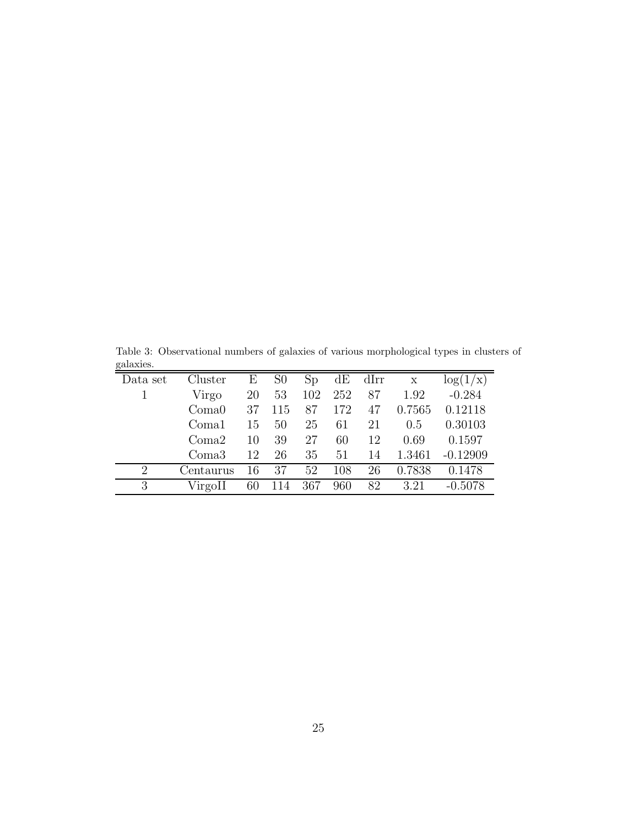Table 3: Observational numbers of galaxies of various morphological types in clusters of galaxies.

| Data set                    | Cluster   | Е  | S <sub>0</sub> | Sp  |     | $dE$ dIrr | $\mathbf X$ | $\log(1/x)$ |
|-----------------------------|-----------|----|----------------|-----|-----|-----------|-------------|-------------|
|                             | Virgo     | 20 | 53             | 102 | 252 | 87        | 1.92        | $-0.284$    |
|                             | Coma0     | 37 | 115            | 87  | 172 | 47        | 0.7565      | 0.12118     |
|                             | Coma1     | 15 | 50             | 25  | 61  | 21        | 0.5         | 0.30103     |
|                             | Coma2     | 10 | 39             | 27  | 60  | 12        | 0.69        | 0.1597      |
|                             | Coma3     | 12 | 26             | 35  | 51  | 14        | 1.3461      | $-0.12909$  |
| $\mathcal{D}_{\mathcal{L}}$ | Centaurus | 16 | 37             | 52  | 108 | 26        | 0.7838      | 0.1478      |
| 3                           | VirgoII   | 60 | 114            | 367 | 960 | 82        | 3.21        | $-0.5078$   |